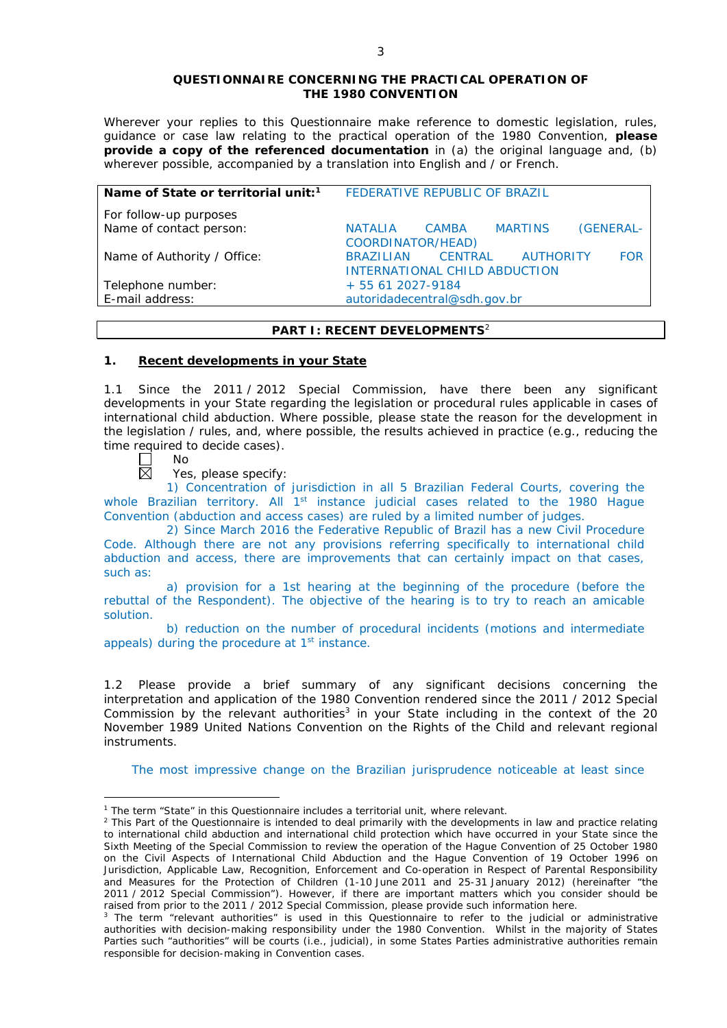#### **QUESTIONNAIRE CONCERNING THE PRACTICAL OPERATION OF THE 1980 CONVENTION**

*Wherever your replies to this Questionnaire make reference to domestic legislation, rules, guidance or case law relating to the practical operation of the 1980 Convention, please provide a copy of the referenced documentation in (a) the original language and, (b) wherever possible, accompanied by a translation into English and / or French.* 

| Name of State or territorial unit: <sup>1</sup> | FEDERATIVE REPUBLIC OF BRAZIL                                                                  |
|-------------------------------------------------|------------------------------------------------------------------------------------------------|
| For follow-up purposes                          |                                                                                                |
| Name of contact person:                         | (GENERAL-<br><b>MARTINS</b><br>CAMBA<br><b>NATALIA</b><br>COORDINATOR/HEAD)                    |
| Name of Authority / Office:                     | <b>AUTHORITY</b><br>CENTRAL<br><b>FOR</b><br><b>BRAZILIAN</b><br>INTERNATIONAL CHILD ABDUCTION |
| Telephone number:                               | + 55 61 2027-9184                                                                              |
| E-mail address:                                 | autoridadecentral@sdh.gov.br                                                                   |

# **PART I: RECENT DEVELOPMENTS**<sup>2</sup>

#### **1. Recent developments in your State**

1.1 Since the 2011 / 2012 Special Commission, have there been any significant developments in your State regarding the legislation or procedural rules applicable in cases of international child abduction. Where possible, please state the reason for the development in the legislation / rules, and, where possible, the results achieved in practice (*e.g.*, reducing the time required to decide cases).

No 岗

<u>.</u>

Yes, please specify:

1) Concentration of jurisdiction in all 5 Brazilian Federal Courts, covering the whole Brazilian territory. All 1<sup>st</sup> instance judicial cases related to the 1980 Hague Convention (abduction and access cases) are ruled by a limited number of judges.

2) Since March 2016 the Federative Republic of Brazil has a new Civil Procedure Code. Although there are not any provisions referring specifically to international child abduction and access, there are improvements that can certainly impact on that cases, such as:

a) provision for a 1st hearing at the beginning of the procedure (before the rebuttal of the Respondent). The objective of the hearing is to try to reach an amicable solution.

b) reduction on the number of procedural incidents (motions and intermediate appeals) during the procedure at 1<sup>st</sup> instance.

1.2 Please provide a brief summary of any significant decisions concerning the interpretation and application of the 1980 Convention rendered since the 2011 / 2012 Special Commission by the relevant authorities<sup>3</sup> in your State including in the context of the 20 November 1989 United Nations Convention on the Rights of the Child and relevant regional instruments.

The most impressive change on the Brazilian jurisprudence noticeable at least since

<sup>&</sup>lt;sup>1</sup> The term "State" in this Questionnaire includes a territorial unit, where relevant.

 $<sup>2</sup>$  This Part of the Questionnaire is intended to deal primarily with the developments in law and practice relating</sup> to international child abduction and international child protection which have occurred in your State since the Sixth Meeting of the Special Commission to review the operation of the *Hague Convention of 25 October 1980 on the Civil Aspects of International Child Abduction* and the *Hague Convention of 19 October 1996 on Jurisdiction, Applicable Law, Recognition, Enforcement and Co-operation in Respect of Parental Responsibility and Measures for the Protection of Children* (1-10 June 2011 and 25-31 January 2012) (hereinafter "the 2011 / 2012 Special Commission"). However, if there are important matters which you consider should be raised from *prior to* the 2011 / 2012 Special Commission, please provide such information here.

<sup>&</sup>lt;sup>3</sup> The term "relevant authorities" is used in this Questionnaire to refer to the judicial or administrative authorities with decision-making responsibility under the 1980 Convention. Whilst in the majority of States Parties such "authorities" will be courts (*i.e.*, judicial), in some States Parties administrative authorities remain responsible for decision-making in Convention cases.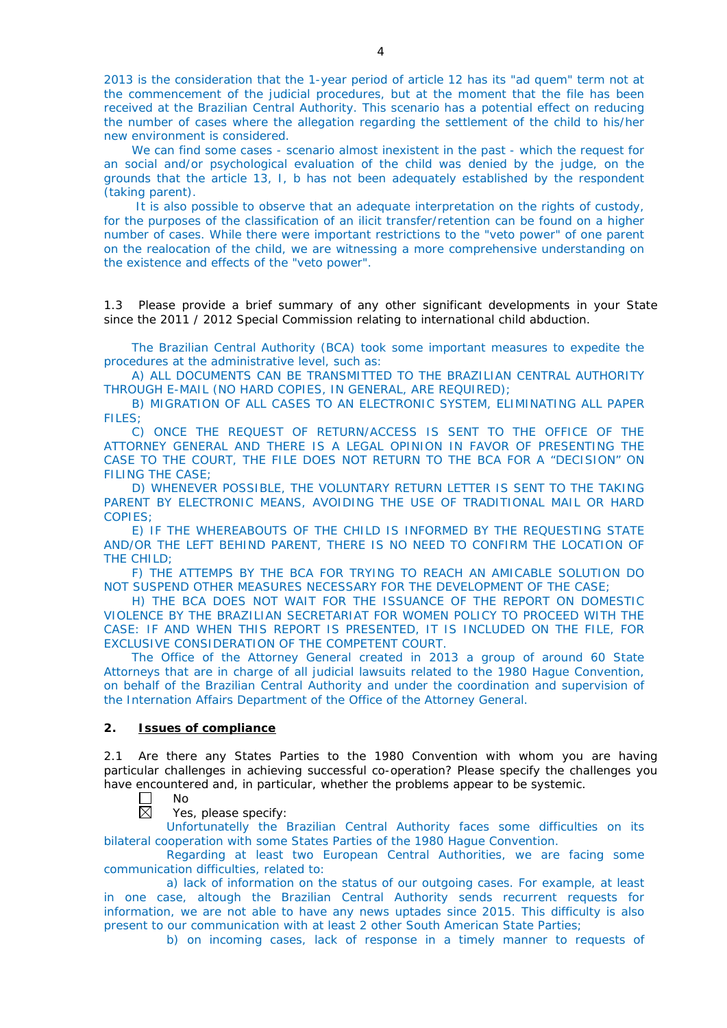2013 is the consideration that the 1-year period of article 12 has its "ad quem" term not at the commencement of the judicial procedures, but at the moment that the file has been received at the Brazilian Central Authority. This scenario has a potential effect on reducing the number of cases where the allegation regarding the settlement of the child to his/her new environment is considered.

We can find some cases - scenario almost inexistent in the past - which the request for an social and/or psychological evaluation of the child was denied by the judge, on the grounds that the article 13, I, b has not been adequately established by the respondent (taking parent).

It is also possible to observe that an adequate interpretation on the rights of custody, for the purposes of the classification of an ilicit transfer/retention can be found on a higher number of cases. While there were important restrictions to the "veto power" of one parent on the realocation of the child, we are witnessing a more comprehensive understanding on the existence and effects of the "veto power".

1.3 Please provide a brief summary of any other significant developments in your State since the 2011 / 2012 Special Commission relating to international child abduction.

The Brazilian Central Authority (BCA) took some important measures to expedite the procedures at the administrative level, such as:

A) ALL DOCUMENTS CAN BE TRANSMITTED TO THE BRAZILIAN CENTRAL AUTHORITY THROUGH E-MAIL (NO HARD COPIES, IN GENERAL, ARE REQUIRED);

B) MIGRATION OF ALL CASES TO AN ELECTRONIC SYSTEM, ELIMINATING ALL PAPER FILES;

C) ONCE THE REQUEST OF RETURN/ACCESS IS SENT TO THE OFFICE OF THE ATTORNEY GENERAL AND THERE IS A LEGAL OPINION IN FAVOR OF PRESENTING THE CASE TO THE COURT, THE FILE DOES NOT RETURN TO THE BCA FOR A "DECISION" ON FILING THE CASE;

D) WHENEVER POSSIBLE, THE VOLUNTARY RETURN LETTER IS SENT TO THE TAKING PARENT BY ELECTRONIC MEANS, AVOIDING THE USE OF TRADITIONAL MAIL OR HARD COPIES;

E) IF THE WHEREABOUTS OF THE CHILD IS INFORMED BY THE REQUESTING STATE AND/OR THE LEFT BEHIND PARENT, THERE IS NO NEED TO CONFIRM THE LOCATION OF THE CHILD;

F) THE ATTEMPS BY THE BCA FOR TRYING TO REACH AN AMICABLE SOLUTION DO NOT SUSPEND OTHER MEASURES NECESSARY FOR THE DEVELOPMENT OF THE CASE;

H) THE BCA DOES NOT WAIT FOR THE ISSUANCE OF THE REPORT ON DOMESTIC VIOLENCE BY THE BRAZILIAN SECRETARIAT FOR WOMEN POLICY TO PROCEED WITH THE CASE: IF AND WHEN THIS REPORT IS PRESENTED, IT IS INCLUDED ON THE FILE, FOR EXCLUSIVE CONSIDERATION OF THE COMPETENT COURT.

The Office of the Attorney General created in 2013 a group of around 60 State Attorneys that are in charge of all judicial lawsuits related to the 1980 Hague Convention, on behalf of the Brazilian Central Authority and under the coordination and supervision of the Internation Affairs Department of the Office of the Attorney General.

#### **2. Issues of compliance**

2.1 Are there any States Parties to the 1980 Convention with whom you are having particular challenges in achieving successful co-operation? Please specify the challenges you have encountered and, in particular, whether the problems appear to be systemic.

П No

反 Yes, please specify:

Unfortunatelly the Brazilian Central Authority faces some difficulties on its bilateral cooperation with some States Parties of the 1980 Hague Convention.

Regarding at least two European Central Authorities, we are facing some communication difficulties, related to:

a) lack of information on the status of our outgoing cases. For example, at least in one case, altough the Brazilian Central Authority sends recurrent requests for information, we are not able to have any news uptades since 2015. This difficulty is also present to our communication with at least 2 other South American State Parties;

b) on incoming cases, lack of response in a timely manner to requests of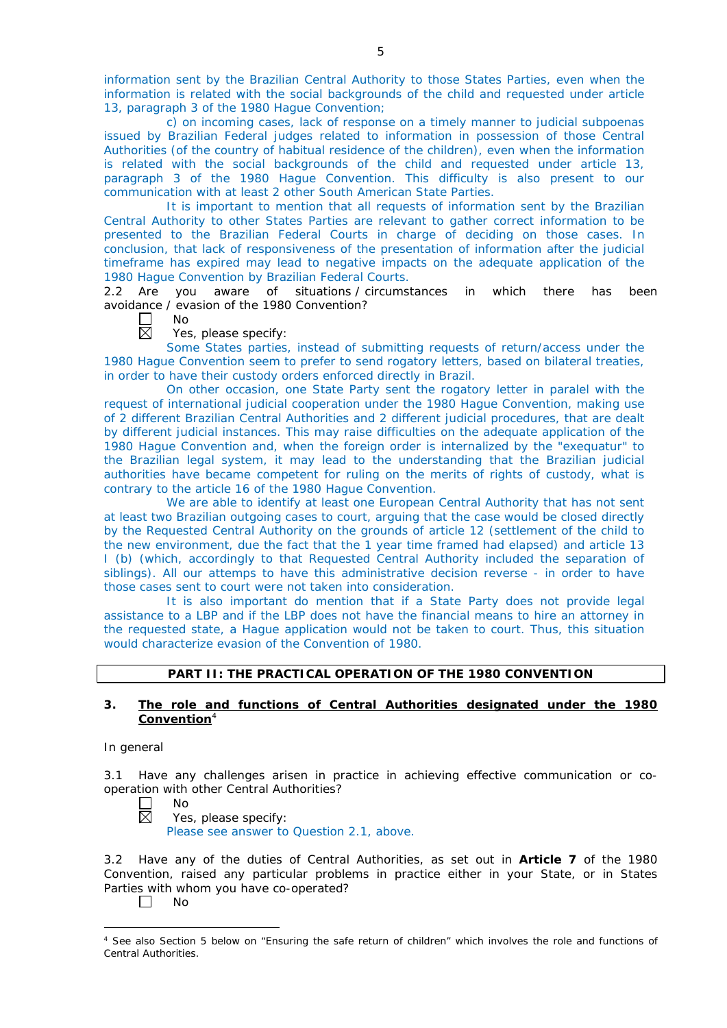information sent by the Brazilian Central Authority to those States Parties, even when the information is related with the social backgrounds of the child and requested under article 13, paragraph 3 of the 1980 Hague Convention;

c) on incoming cases, lack of response on a timely manner to judicial subpoenas issued by Brazilian Federal judges related to information in possession of those Central Authorities (of the country of habitual residence of the children), even when the information is related with the social backgrounds of the child and requested under article 13, paragraph 3 of the 1980 Hague Convention. This difficulty is also present to our communication with at least 2 other South American State Parties.

It is important to mention that all requests of information sent by the Brazilian Central Authority to other States Parties are relevant to gather correct information to be presented to the Brazilian Federal Courts in charge of deciding on those cases. In conclusion, that lack of responsiveness of the presentation of information after the judicial timeframe has expired may lead to negative impacts on the adequate application of the 1980 Hague Convention by Brazilian Federal Courts.

2.2 Are you aware of situations / circumstances in which there has been avoidance / evasion of the 1980 Convention?

No  $\boxtimes$ 

Yes, please specify:

Some States parties, instead of submitting requests of return/access under the 1980 Hague Convention seem to prefer to send rogatory letters, based on bilateral treaties, in order to have their custody orders enforced directly in Brazil.

On other occasion, one State Party sent the rogatory letter in paralel with the request of international judicial cooperation under the 1980 Hague Convention, making use of 2 different Brazilian Central Authorities and 2 different judicial procedures, that are dealt by different judicial instances. This may raise difficulties on the adequate application of the 1980 Hague Convention and, when the foreign order is internalized by the "exequatur" to the Brazilian legal system, it may lead to the understanding that the Brazilian judicial authorities have became competent for ruling on the merits of rights of custody, what is contrary to the article 16 of the 1980 Hague Convention.

We are able to identify at least one European Central Authority that has not sent at least two Brazilian outgoing cases to court, arguing that the case would be closed directly by the Requested Central Authority on the grounds of article 12 (settlement of the child to the new environment, due the fact that the 1 year time framed had elapsed) and article 13 I (b) (which, accordingly to that Requested Central Authority included the separation of siblings). All our attemps to have this administrative decision reverse - in order to have those cases sent to court were not taken into consideration.

It is also important do mention that if a State Party does not provide legal assistance to a LBP and if the LBP does not have the financial means to hire an attorney in the requested state, a Hague application would not be taken to court. Thus, this situation would characterize evasion of the Convention of 1980.

# **PART II: THE PRACTICAL OPERATION OF THE 1980 CONVENTION**

## **3. The role and functions of Central Authorities designated under the 1980 Convention**<sup>4</sup>

*In general*

3.1 Have any challenges arisen in practice in achieving effective communication or cooperation with other Central Authorities?

 $\Box$ No  $\boxtimes$ 

Yes, please specify: Please see answer to Question 2.1, above.

3.2 Have any of the duties of Central Authorities, as set out in **Article 7** of the 1980 Convention, raised any particular problems in practice either in your State, or in States Parties with whom you have co-operated?

П No

<sup>-</sup><sup>4</sup> See also Section 5 below on "Ensuring the safe return of children" which involves the role and functions of Central Authorities.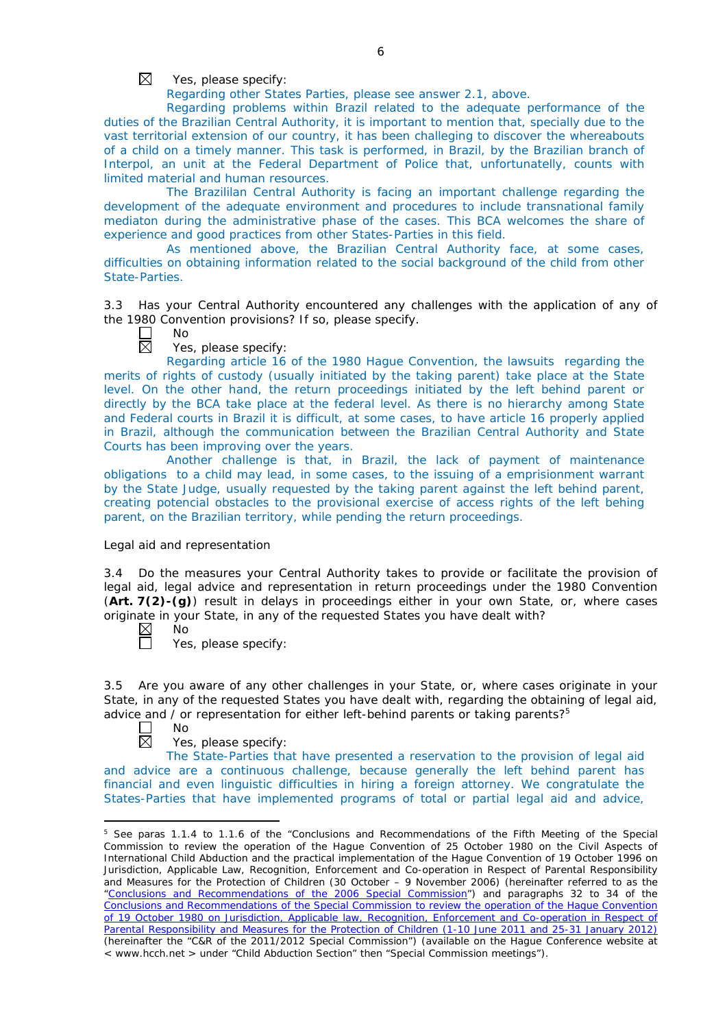$\boxtimes$ Yes, please specify:

Regarding other States Parties, please see answer 2.1, above.

Regarding problems within Brazil related to the adequate performance of the duties of the Brazilian Central Authority, it is important to mention that, specially due to the vast territorial extension of our country, it has been challeging to discover the whereabouts of a child on a timely manner. This task is performed, in Brazil, by the Brazilian branch of Interpol, an unit at the Federal Department of Police that, unfortunatelly, counts with limited material and human resources.

The Brazililan Central Authority is facing an important challenge regarding the development of the adequate environment and procedures to include transnational family mediaton during the administrative phase of the cases. This BCA welcomes the share of experience and good practices from other States-Parties in this field.

As mentioned above, the Brazilian Central Authority face, at some cases, difficulties on obtaining information related to the social background of the child from other State-Parties.

3.3 Has your Central Authority encountered any challenges with the application of any of the 1980 Convention provisions? If so, please specify.

 $\Box$ No

 $\boxtimes$ Yes, please specify:

Regarding article 16 of the 1980 Hague Convention, the lawsuits regarding the merits of rights of custody (usually initiated by the taking parent) take place at the State level. On the other hand, the return proceedings initiated by the left behind parent or directly by the BCA take place at the federal level. As there is no hierarchy among State and Federal courts in Brazil it is difficult, at some cases, to have article 16 properly applied in Brazil, although the communication between the Brazilian Central Authority and State Courts has been improving over the years.

Another challenge is that, in Brazil, the lack of payment of maintenance obligations to a child may lead, in some cases, to the issuing of a emprisionment warrant by the State Judge, usually requested by the taking parent against the left behind parent, creating potencial obstacles to the provisional exercise of access rights of the left behing parent, on the Brazilian territory, while pending the return proceedings.

#### *Legal aid and representation*

3.4 Do the measures your Central Authority takes to provide or facilitate the provision of legal aid, legal advice and representation in return proceedings under the 1980 Convention (**Art. 7(2)-(g)**) result in delays in proceedings either in your own State, or, where cases originate in your State, in any of the requested States you have dealt with?<br>
No<br>  $\Box$  Yes, please specify:

No

Yes, please specify:

3.5 Are you aware of any other challenges in your State, or, where cases originate in your State, in any of the requested States you have dealt with, regarding the obtaining of legal aid, advice and / or representation for either left-behind parents or taking parents?<sup>5</sup>

No 反

<u>.</u>

Yes, please specify:

The State-Parties that have presented a reservation to the provision of legal aid and advice are a continuous challenge, because generally the left behind parent has financial and even linguistic difficulties in hiring a foreign attorney. We congratulate the States-Parties that have implemented programs of total or partial legal aid and advice,

<sup>&</sup>lt;sup>5</sup> See paras 1.1.4 to 1.1.6 of the "Conclusions and Recommendations of the Fifth Meeting of the Special Commission to review the operation of the *Hague Convention of 25 October 1980 on the Civil Aspects of International Child Abduction* and the practical implementation of the *Hague Convention of 19 October 1996 on Jurisdiction, Applicable Law, Recognition, Enforcement and Co-operation in Respect of Parental Responsibility and Measures for the Protection of Children* (30 October – 9 November 2006) (hereinafter referred to as the ["Conclusions and Recommendations of the 2006 Special Commission"](https://assets.hcch.net/upload/concl28sc5_e.pdf)) and paragraphs 32 to 34 of the [Conclusions and Recommendations of the Special Commission](https://assets.hcch.net/upload/wop/concl28sc6_e.pdf) to review the operation of the Hague Convention of *[19 October 1980 on Jurisdiction, Applicable law, Recognition, Enforcement](https://assets.hcch.net/upload/wop/concl28sc6_e.pdf) and Co-operation in Respect of [Parental Responsibility and Measures for the Protection of Children](https://assets.hcch.net/upload/wop/concl28sc6_e.pdf)* (1-10 June 2011 and 25-31 January 2012) (hereinafter the "C&R of the 2011/2012 Special Commission") (available on the Hague Conference website at < www.hcch.net > under "Child Abduction Section" then "Special Commission meetings").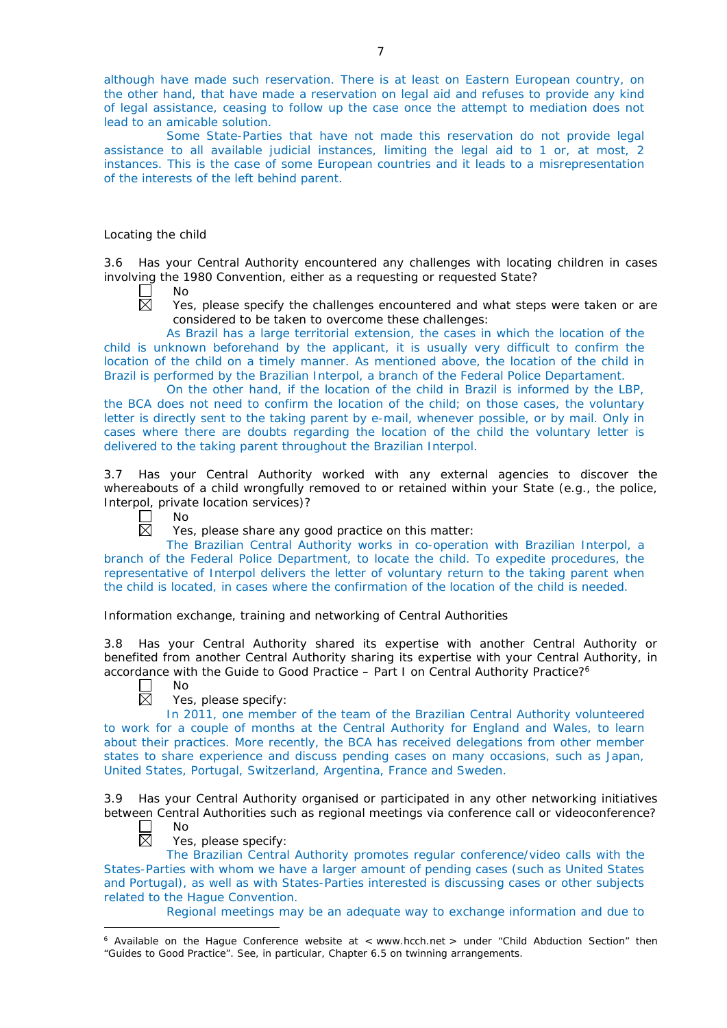although have made such reservation. There is at least on Eastern European country, on the other hand, that have made a reservation on legal aid and refuses to provide any kind of legal assistance, ceasing to follow up the case once the attempt to mediation does not lead to an amicable solution.

Some State-Parties that have not made this reservation do not provide legal assistance to all available judicial instances, limiting the legal aid to 1 or, at most, 2 instances. This is the case of some European countries and it leads to a misrepresentation of the interests of the left behind parent.

#### *Locating the child*

3.6 Has your Central Authority encountered any challenges with locating children in cases involving the 1980 Convention, either as a requesting or requested State?

No  $\boxtimes$ 

Yes, please specify the challenges encountered and what steps were taken or are considered to be taken to overcome these challenges:

As Brazil has a large territorial extension, the cases in which the location of the child is unknown beforehand by the applicant, it is usually very difficult to confirm the location of the child on a timely manner. As mentioned above, the location of the child in Brazil is performed by the Brazilian Interpol, a branch of the Federal Police Departament.

On the other hand, if the location of the child in Brazil is informed by the LBP, the BCA does not need to confirm the location of the child; on those cases, the voluntary letter is directly sent to the taking parent by e-mail, whenever possible, or by mail. Only in cases where there are doubts regarding the location of the child the voluntary letter is delivered to the taking parent throughout the Brazilian Interpol.

3.7 Has your Central Authority worked with any external agencies to discover the whereabouts of a child wrongfully removed to or retained within your State (*e.g.*, the police, Interpol, private location services)?

No 岗

Yes, please share any good practice on this matter:

The Brazilian Central Authority works in co-operation with Brazilian Interpol, a branch of the Federal Police Department, to locate the child. To expedite procedures, the representative of Interpol delivers the letter of voluntary return to the taking parent when the child is located, in cases where the confirmation of the location of the child is needed.

*Information exchange, training and networking of Central Authorities*

3.8 Has your Central Authority shared its expertise with another Central Authority or benefited from another Central Authority sharing its expertise with your Central Authority, in accordance with the Guide to Good Practice  $-$  Part I on Central Authority Practice?<sup>6</sup>

No 岗

Yes, please specify:

In 2011, one member of the team of the Brazilian Central Authority volunteered to work for a couple of months at the Central Authority for England and Wales, to learn about their practices. More recently, the BCA has received delegations from other member states to share experience and discuss pending cases on many occasions, such as Japan, United States, Portugal, Switzerland, Argentina, France and Sweden.

3.9 Has your Central Authority organised or participated in any other networking initiatives between Central Authorities such as regional meetings via conference call or videoconference? No

П  $\boxtimes$ 

Yes, please specify:

The Brazilian Central Authority promotes regular conference/video calls with the States-Parties with whom we have a larger amount of pending cases (such as United States and Portugal), as well as with States-Parties interested is discussing cases or other subjects related to the Hague Convention.

Regional meetings may be an adequate way to exchange information and due to

<sup>-</sup> $6$  Available on the Hague Conference website at < www.hcch.net > under "Child Abduction Section" then "Guides to Good Practice". See, in particular, Chapter 6.5 on twinning arrangements.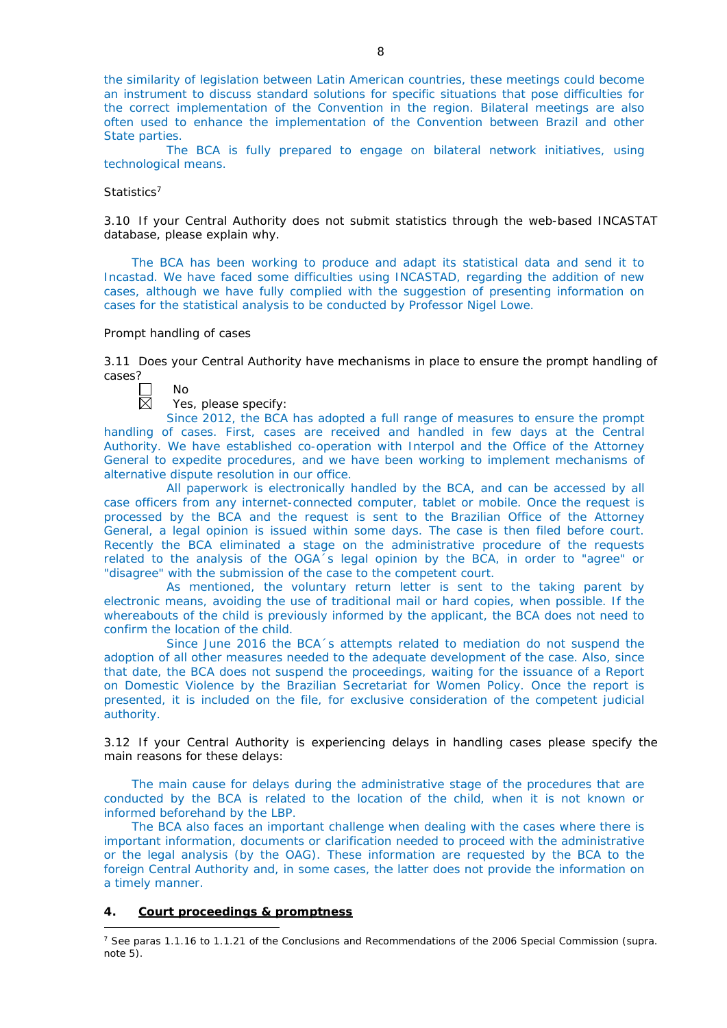the similarity of legislation between Latin American countries, these meetings could become an instrument to discuss standard solutions for specific situations that pose difficulties for the correct implementation of the Convention in the region. Bilateral meetings are also often used to enhance the implementation of the Convention between Brazil and other State parties.

The BCA is fully prepared to engage on bilateral network initiatives, using technological means.

#### *Statistics*<sup>7</sup>

3.10 If your Central Authority does not submit statistics through the web-based INCASTAT database, please explain why.

The BCA has been working to produce and adapt its statistical data and send it to Incastad. We have faced some difficulties using INCASTAD, regarding the addition of new cases, although we have fully complied with the suggestion of presenting information on cases for the statistical analysis to be conducted by Professor Nigel Lowe.

#### *Prompt handling of cases*

3.11 Does your Central Authority have mechanisms in place to ensure the prompt handling of cases?

| חוי |
|-----|
| t   |

#### Yes, please specify:

Since 2012, the BCA has adopted a full range of measures to ensure the prompt handling of cases. First, cases are received and handled in few days at the Central Authority. We have established co-operation with Interpol and the Office of the Attorney General to expedite procedures, and we have been working to implement mechanisms of alternative dispute resolution in our office.

All paperwork is electronically handled by the BCA, and can be accessed by all case officers from any internet-connected computer, tablet or mobile. Once the request is processed by the BCA and the request is sent to the Brazilian Office of the Attorney General, a legal opinion is issued within some days. The case is then filed before court. Recently the BCA eliminated a stage on the administrative procedure of the requests related to the analysis of the OGA´s legal opinion by the BCA, in order to "agree" or "disagree" with the submission of the case to the competent court.

As mentioned, the voluntary return letter is sent to the taking parent by electronic means, avoiding the use of traditional mail or hard copies, when possible. If the whereabouts of the child is previously informed by the applicant, the BCA does not need to confirm the location of the child.

Since June 2016 the BCA´s attempts related to mediation do not suspend the adoption of all other measures needed to the adequate development of the case. Also, since that date, the BCA does not suspend the proceedings, waiting for the issuance of a Report on Domestic Violence by the Brazilian Secretariat for Women Policy. Once the report is presented, it is included on the file, for exclusive consideration of the competent judicial authority.

3.12 If your Central Authority is experiencing delays in handling cases please specify the main reasons for these delays:

The main cause for delays during the administrative stage of the procedures that are conducted by the BCA is related to the location of the child, when it is not known or informed beforehand by the LBP.

The BCA also faces an important challenge when dealing with the cases where there is important information, documents or clarification needed to proceed with the administrative or the legal analysis (by the OAG). These information are requested by the BCA to the foreign Central Authority and, in some cases, the latter does not provide the information on a timely manner.

# **4. Court proceedings & promptness**

-

<sup>7</sup> See paras 1.1.16 to 1.1.21 of the Conclusions and Recommendations of the 2006 Special Commission (*supra.*  note  $5$ ).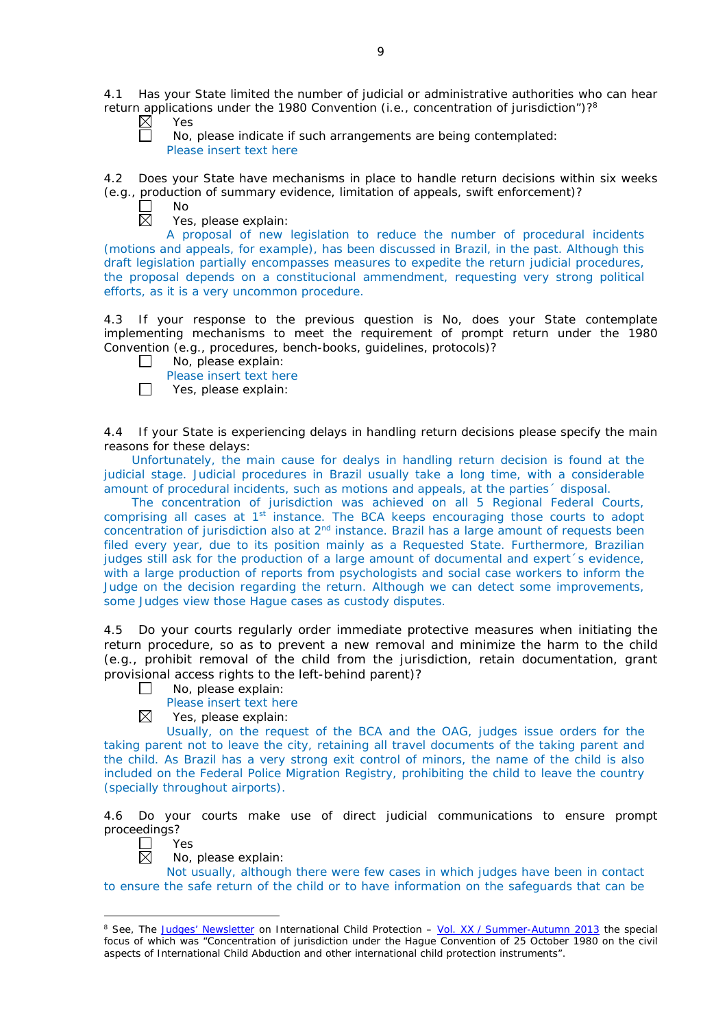4.1 Has your State limited the number of judicial or administrative authorities who can hear return applications under the 1980 Convention (*i.e.*, concentration of jurisdiction")?8

| Υ<br>S<br>▭ |
|-------------|
| No          |

No, please indicate if such arrangements are being contemplated: Please insert text here

4.2 Does your State have mechanisms in place to handle return decisions within six weeks (*e.g.*, production of summary evidence, limitation of appeals, swift enforcement)?

 $\Box$ No  $\overline{\boxtimes}$ 

Yes, please explain:

A proposal of new legislation to reduce the number of procedural incidents (motions and appeals, for example), has been discussed in Brazil, in the past. Although this draft legislation partially encompasses measures to expedite the return judicial procedures, the proposal depends on a constitucional ammendment, requesting very strong political efforts, as it is a very uncommon procedure.

4.3 If your response to the previous question is No, does your State contemplate implementing mechanisms to meet the requirement of prompt return under the 1980 Convention (*e.g.*, procedures, bench-books, guidelines, protocols)?

- $\Box$ No, please explain:
	- Please insert text here
- $\Box$ Yes, please explain:

4.4 If your State is experiencing delays in handling return decisions please specify the main reasons for these delays:

Unfortunately, the main cause for dealys in handling return decision is found at the judicial stage. Judicial procedures in Brazil usually take a long time, with a considerable amount of procedural incidents, such as motions and appeals, at the parties´ disposal.

The concentration of jurisdiction was achieved on all 5 Regional Federal Courts, comprising all cases at  $1<sup>st</sup>$  instance. The BCA keeps encouraging those courts to adopt concentration of jurisdiction also at  $2<sup>nd</sup>$  instance. Brazil has a large amount of requests been filed every year, due to its position mainly as a Requested State. Furthermore, Brazilian judges still ask for the production of a large amount of documental and expert's evidence, with a large production of reports from psychologists and social case workers to inform the Judge on the decision regarding the return. Although we can detect some improvements, some Judges view those Hague cases as custody disputes.

4.5 Do your courts regularly order immediate protective measures when initiating the return procedure, so as to prevent a new removal and minimize the harm to the child (*e.g.*, prohibit removal of the child from the jurisdiction, retain documentation, grant provisional access rights to the left-behind parent)?

 $\Box$ No, please explain:

Please insert text here

 $\boxtimes$ Yes, please explain:

Usually, on the request of the BCA and the OAG, judges issue orders for the taking parent not to leave the city, retaining all travel documents of the taking parent and the child. As Brazil has a very strong exit control of minors, the name of the child is also included on the Federal Police Migration Registry, prohibiting the child to leave the country (specially throughout airports).

4.6 Do your courts make use of direct judicial communications to ensure prompt proceedings?

 $\Box$ Yes  $\boxtimes$ 

-

No, please explain:

Not usually, although there were few cases in which judges have been in contact to ensure the safe return of the child or to have information on the safeguards that can be

<sup>8</sup> See, *The [Judges' Newsletter](https://www.hcch.net/en/instruments/conventions/publications2/judges-newsletter)* on International Child Protection – Vol. XX / [Summer-Autumn 2013](https://assets.hcch.net/upload/newsletter/nl2013tome20en.pdf) the special focus of which was "Concentration of jurisdiction under the *Hague Convention of 25 October 1980 on the civil aspects of International Child Abduction* and other international child protection instruments".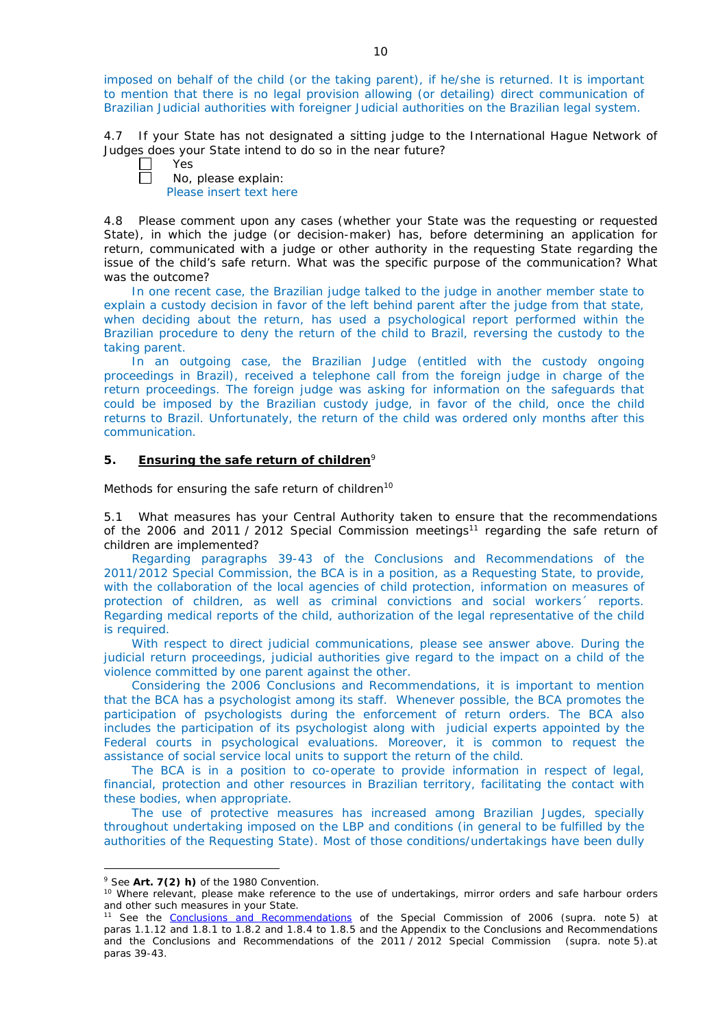imposed on behalf of the child (or the taking parent), if he/she is returned. It is important to mention that there is no legal provision allowing (or detailing) direct communication of Brazilian Judicial authorities with foreigner Judicial authorities on the Brazilian legal system.

4.7 If your State has not designated a sitting judge to the International Hague Network of Judges does your State intend to do so in the near future?

Yes

No, please explain: Please insert text here

4.8 Please comment upon any cases (whether your State was the requesting or requested State), in which the judge (or decision-maker) has, before determining an application for return, communicated with a judge or other authority in the requesting State regarding the issue of the child's safe return. What was the specific purpose of the communication? What was the outcome?

In one recent case, the Brazilian judge talked to the judge in another member state to explain a custody decision in favor of the left behind parent after the judge from that state, when deciding about the return, has used a psychological report performed within the Brazilian procedure to deny the return of the child to Brazil, reversing the custody to the taking parent.

In an outgoing case, the Brazilian Judge (entitled with the custody ongoing proceedings in Brazil), received a telephone call from the foreign judge in charge of the return proceedings. The foreign judge was asking for information on the safeguards that could be imposed by the Brazilian custody judge, in favor of the child, once the child returns to Brazil. Unfortunately, the return of the child was ordered only months after this communication.

# **5. Ensuring the safe return of children**<sup>9</sup>

*Methods for ensuring the safe return of children*<sup>10</sup>

5.1 What measures has your Central Authority taken to ensure that the recommendations of the 2006 and 2011 / 2012 Special Commission meetings<sup>11</sup> regarding the safe return of children are implemented?

Regarding paragraphs 39-43 of the Conclusions and Recommendations of the 2011/2012 Special Commission, the BCA is in a position, as a Requesting State, to provide, with the collaboration of the local agencies of child protection, information on measures of protection of children, as well as criminal convictions and social workers´ reports. Regarding medical reports of the child, authorization of the legal representative of the child is required.

With respect to direct judicial communications, please see answer above. During the judicial return proceedings, judicial authorities give regard to the impact on a child of the violence committed by one parent against the other.

Considering the 2006 Conclusions and Recommendations, it is important to mention that the BCA has a psychologist among its staff. Whenever possible, the BCA promotes the participation of psychologists during the enforcement of return orders. The BCA also includes the participation of its psychologist along with judicial experts appointed by the Federal courts in psychological evaluations. Moreover, it is common to request the assistance of social service local units to support the return of the child.

The BCA is in a position to co-operate to provide information in respect of legal, financial, protection and other resources in Brazilian territory, facilitating the contact with these bodies, when appropriate.

The use of protective measures has increased among Brazilian Jugdes, specially throughout undertaking imposed on the LBP and conditions (in general to be fulfilled by the authorities of the Requesting State). Most of those conditions/undertakings have been dully

<u>.</u>

<sup>9</sup> See **Art. 7(2)** *h)* of the 1980 Convention.

<sup>&</sup>lt;sup>10</sup> Where relevant, please make reference to the use of undertakings, mirror orders and safe harbour orders and other such measures in your State.

<sup>11</sup> See the [Conclusions and Recommendations](https://assets.hcch.net/upload/concl28sc5_e.pdf) of the Special Commission of 2006 (*supra.* note 5) at paras 1.1.12 and 1.8.1 to 1.8.2 and 1.8.4 to 1.8.5 and the Appendix to the Conclusions and Recommendations and the [Conclusions and Recommendations of the 2011](https://assets.hcch.net/upload/wop/concl28sc6_e.pdf) / 2012 Special Commission (*supra.* note 5).at paras 39-43.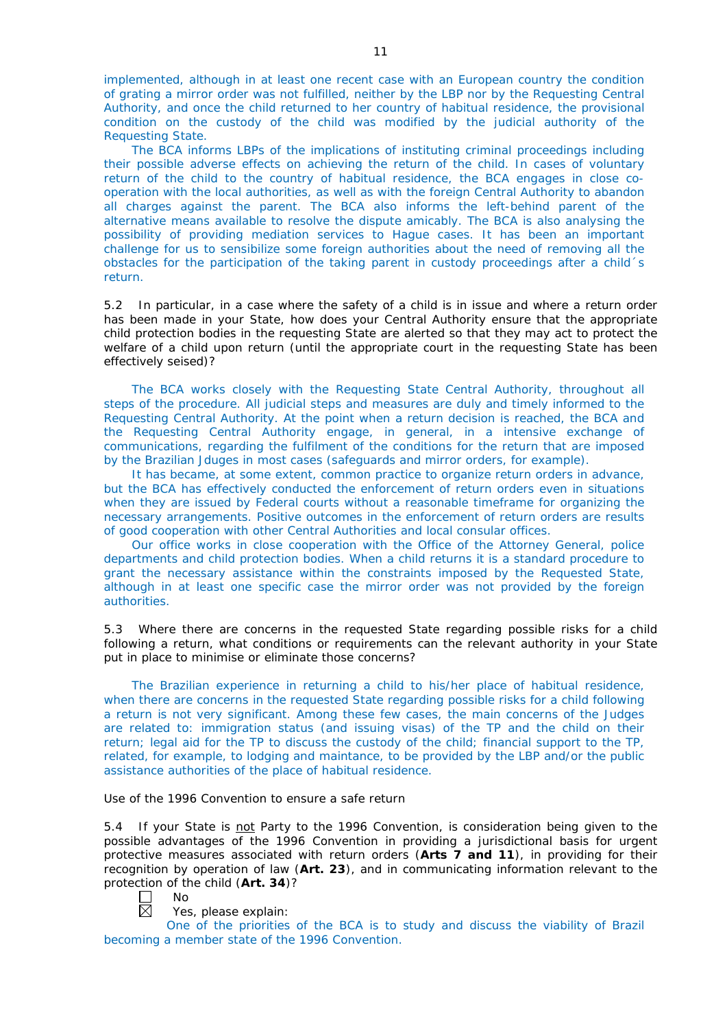implemented, although in at least one recent case with an European country the condition of grating a mirror order was not fulfilled, neither by the LBP nor by the Requesting Central Authority, and once the child returned to her country of habitual residence, the provisional condition on the custody of the child was modified by the judicial authority of the Requesting State.

The BCA informs LBPs of the implications of instituting criminal proceedings including their possible adverse effects on achieving the return of the child. In cases of voluntary return of the child to the country of habitual residence, the BCA engages in close cooperation with the local authorities, as well as with the foreign Central Authority to abandon all charges against the parent. The BCA also informs the left-behind parent of the alternative means available to resolve the dispute amicably. The BCA is also analysing the possibility of providing mediation services to Hague cases. It has been an important challenge for us to sensibilize some foreign authorities about the need of removing all the obstacles for the participation of the taking parent in custody proceedings after a child´s return.

5.2 In particular, in a case where the safety of a child is in issue and where a return order has been made in your State, how does your Central Authority ensure that the appropriate child protection bodies in the *requesting* State are alerted so that they may act to protect the welfare of a child upon return (until the appropriate court in the requesting State has been effectively seised)?

The BCA works closely with the Requesting State Central Authority, throughout all steps of the procedure. All judicial steps and measures are duly and timely informed to the Requesting Central Authority. At the point when a return decision is reached, the BCA and the Requesting Central Authority engage, in general, in a intensive exchange of communications, regarding the fulfilment of the conditions for the return that are imposed by the Brazilian Jduges in most cases (safeguards and mirror orders, for example).

It has became, at some extent, common practice to organize return orders in advance, but the BCA has effectively conducted the enforcement of return orders even in situations when they are issued by Federal courts without a reasonable timeframe for organizing the necessary arrangements. Positive outcomes in the enforcement of return orders are results of good cooperation with other Central Authorities and local consular offices.

Our office works in close cooperation with the Office of the Attorney General, police departments and child protection bodies. When a child returns it is a standard procedure to grant the necessary assistance within the constraints imposed by the Requested State, although in at least one specific case the mirror order was not provided by the foreign authorities.

5.3 Where there are concerns in the requested State regarding possible risks for a child following a return, what conditions or requirements can the relevant authority in your State put in place to minimise or eliminate those concerns?

The Brazilian experience in returning a child to his/her place of habitual residence, when there are concerns in the requested State regarding possible risks for a child following a return is not very significant. Among these few cases, the main concerns of the Judges are related to: immigration status (and issuing visas) of the TP and the child on their return; legal aid for the TP to discuss the custody of the child; financial support to the TP, related, for example, to lodging and maintance, to be provided by the LBP and/or the public assistance authorities of the place of habitual residence.

#### *Use of the 1996 Convention to ensure a safe return*

5.4 If your State is not Party to the 1996 Convention, is consideration being given to the possible advantages of the 1996 Convention in providing a jurisdictional basis for urgent protective measures associated with return orders (**Arts 7 and 11**), in providing for their recognition by operation of law (**Art. 23**), and in communicating information relevant to the protection of the child (**Art. 34**)?

No 岗

Yes, please explain:

One of the priorities of the BCA is to study and discuss the viability of Brazil becoming a member state of the 1996 Convention.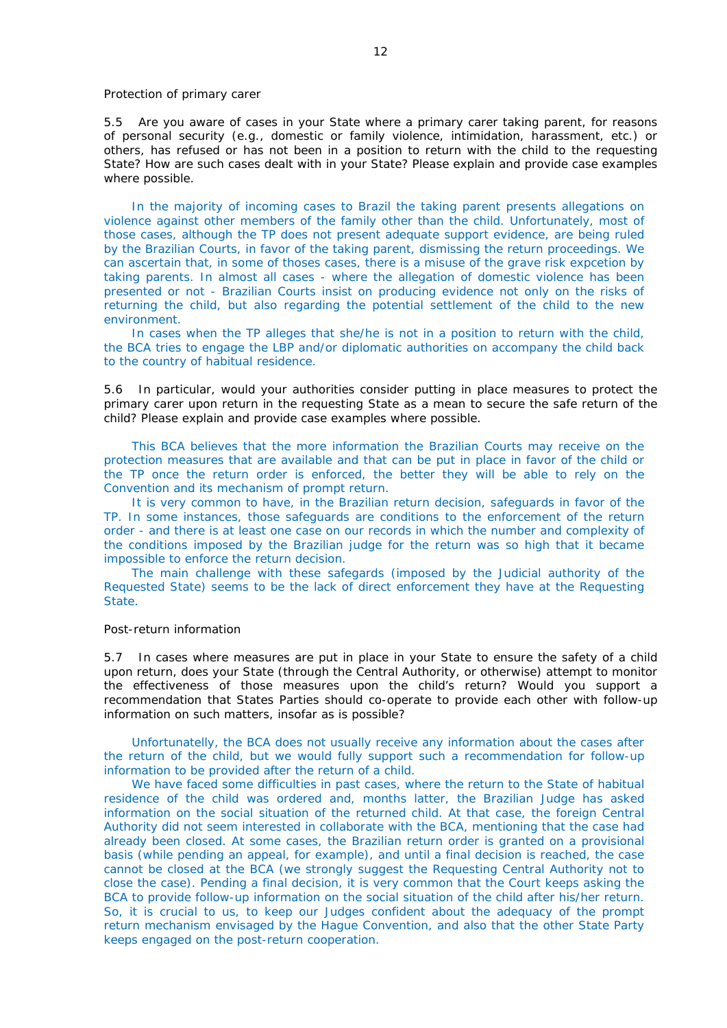#### *Protection of primary carer*

5.5 Are you aware of cases in your State where a primary carer taking parent, for reasons of personal security (*e.g.*, domestic or family violence, intimidation, harassment, etc.) or others, has refused or has not been in a position to return with the child to the requesting State? How are such cases dealt with in your State? Please explain and provide case examples where possible.

In the majority of incoming cases to Brazil the taking parent presents allegations on violence against other members of the family other than the child. Unfortunately, most of those cases, although the TP does not present adequate support evidence, are being ruled by the Brazilian Courts, in favor of the taking parent, dismissing the return proceedings. We can ascertain that, in some of thoses cases, there is a misuse of the grave risk expcetion by taking parents. In almost all cases - where the allegation of domestic violence has been presented or not - Brazilian Courts insist on producing evidence not only on the risks of returning the child, but also regarding the potential settlement of the child to the new environment.

In cases when the TP alleges that she/he is not in a position to return with the child, the BCA tries to engage the LBP and/or diplomatic authorities on accompany the child back to the country of habitual residence.

5.6 In particular, would your authorities consider putting in place measures to protect the primary carer upon return in the requesting State as a mean to secure the safe return of the child? Please explain and provide case examples where possible.

This BCA believes that the more information the Brazilian Courts may receive on the protection measures that are available and that can be put in place in favor of the child or the TP once the return order is enforced, the better they will be able to rely on the Convention and its mechanism of prompt return.

It is very common to have, in the Brazilian return decision, safeguards in favor of the TP. In some instances, those safeguards are conditions to the enforcement of the return order - and there is at least one case on our records in which the number and complexity of the conditions imposed by the Brazilian judge for the return was so high that it became impossible to enforce the return decision.

The main challenge with these safegards (imposed by the Judicial authority of the Requested State) seems to be the lack of direct enforcement they have at the Requesting State.

#### *Post-return information*

5.7 In cases where measures are put in place in your State to ensure the safety of a child upon return, does your State (through the Central Authority, or otherwise) attempt to monitor the effectiveness of those measures upon the child's return? Would you support a recommendation that States Parties should co-operate to provide each other with follow-up information on such matters, insofar as is possible?

Unfortunatelly, the BCA does not usually receive any information about the cases after the return of the child, but we would fully support such a recommendation for follow-up information to be provided after the return of a child.

We have faced some difficulties in past cases, where the return to the State of habitual residence of the child was ordered and, months latter, the Brazilian Judge has asked information on the social situation of the returned child. At that case, the foreign Central Authority did not seem interested in collaborate with the BCA, mentioning that the case had already been closed. At some cases, the Brazilian return order is granted on a provisional basis (while pending an appeal, for example), and until a final decision is reached, the case cannot be closed at the BCA (we strongly suggest the Requesting Central Authority not to close the case). Pending a final decision, it is very common that the Court keeps asking the BCA to provide follow-up information on the social situation of the child after his/her return. So, it is crucial to us, to keep our Judges confident about the adequacy of the prompt return mechanism envisaged by the Hague Convention, and also that the other State Party keeps engaged on the post-return cooperation.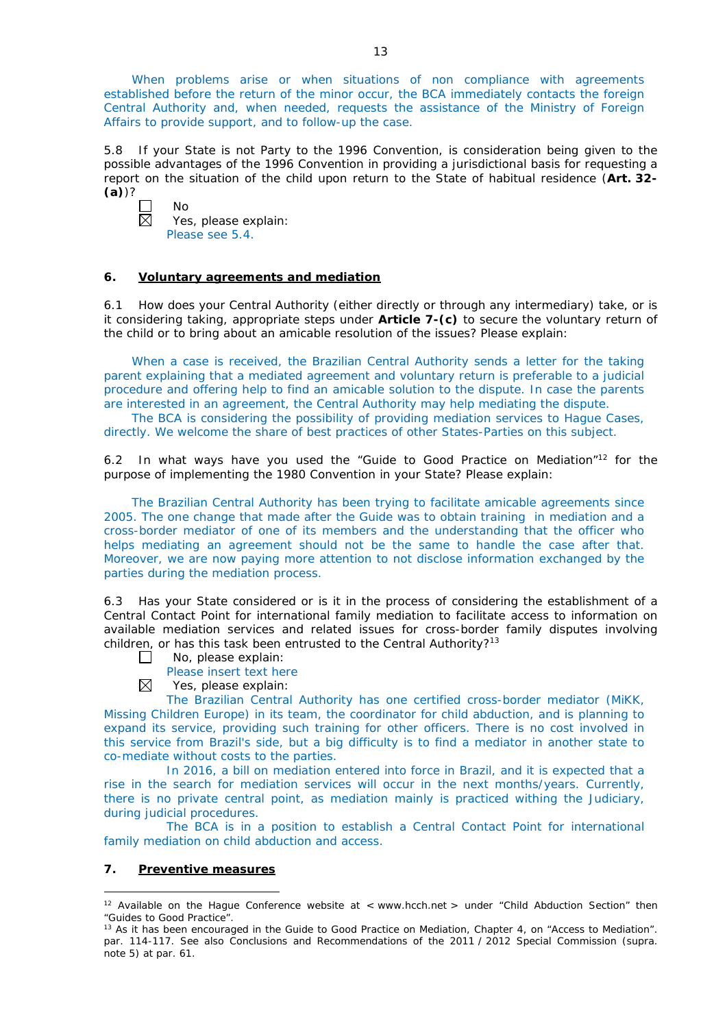When problems arise or when situations of non compliance with agreements established before the return of the minor occur, the BCA immediately contacts the foreign Central Authority and, when needed, requests the assistance of the Ministry of Foreign Affairs to provide support, and to follow-up the case.

5.8 If your State is not Party to the 1996 Convention, is consideration being given to the possible advantages of the 1996 Convention in providing a jurisdictional basis for requesting a report on the situation of the child upon return to the State of habitual residence (**Art. 32- (a)**)?

 $\Box$ No  $\boxtimes$ 

Yes, please explain: Please see 5.4.

# **6. Voluntary agreements and mediation**

6.1 How does your Central Authority (either directly or through any intermediary) take, or is it considering taking, appropriate steps under **Article 7-(c)** to secure the voluntary return of the child or to bring about an amicable resolution of the issues? Please explain:

When a case is received, the Brazilian Central Authority sends a letter for the taking parent explaining that a mediated agreement and voluntary return is preferable to a judicial procedure and offering help to find an amicable solution to the dispute. In case the parents are interested in an agreement, the Central Authority may help mediating the dispute.

The BCA is considering the possibility of providing mediation services to Hague Cases, directly. We welcome the share of best practices of other States-Parties on this subject.

6.2 In what ways have you used the "Guide to Good Practice on Mediation"12 for the purpose of implementing the 1980 Convention in your State? Please explain:

The Brazilian Central Authority has been trying to facilitate amicable agreements since 2005. The one change that made after the Guide was to obtain training in mediation and a cross-border mediator of one of its members and the understanding that the officer who helps mediating an agreement should not be the same to handle the case after that. Moreover, we are now paying more attention to not disclose information exchanged by the parties during the mediation process.

6.3 Has your State considered or is it in the process of considering the establishment of a Central Contact Point for international family mediation to facilitate access to information on available mediation services and related issues for cross-border family disputes involving children, or has this task been entrusted to the Central Authority?<sup>13</sup>

- $\Box$ No, please explain:
	- Please insert text here
- ⊠ Yes, please explain:

The Brazilian Central Authority has one certified cross-border mediator (MiKK, Missing Children Europe) in its team, the coordinator for child abduction, and is planning to expand its service, providing such training for other officers. There is no cost involved in this service from Brazil's side, but a big difficulty is to find a mediator in another state to co-mediate without costs to the parties.

In 2016, a bill on mediation entered into force in Brazil, and it is expected that a rise in the search for mediation services will occur in the next months/years. Currently, there is no private central point, as mediation mainly is practiced withing the Judiciary, during judicial procedures.

The BCA is in a position to establish a Central Contact Point for international family mediation on child abduction and access.

# **7. Preventive measures**

-

<sup>&</sup>lt;sup>12</sup> Available on the Hague Conference website at < www.hcch.net > under "Child Abduction Section" then "Guides to Good Practice".

<sup>&</sup>lt;sup>13</sup> As it has been encouraged in the Guide to Good Practice on Mediation, Chapter 4, on "Access to Mediation". par. 114-117. See also [Conclusions and Recommendations of the 2011](https://assets.hcch.net/upload/wop/concl28sc6_e.pdf) / 2012 Special Commission (*supra.* note 5) at par. 61.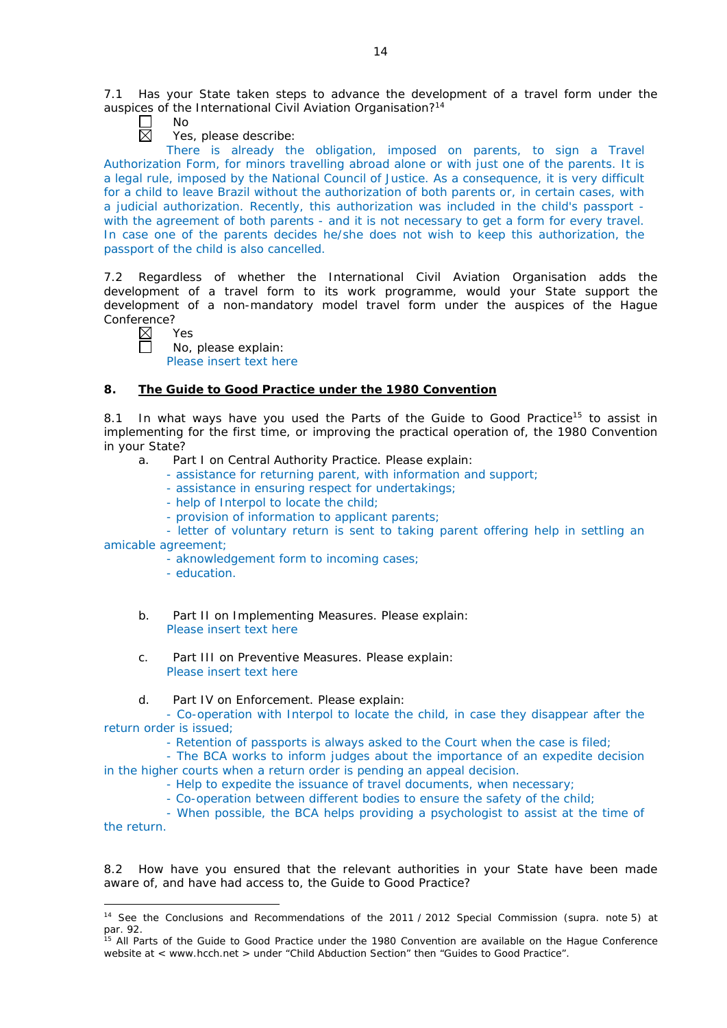7.1 Has your State taken steps to advance the development of a travel form under the auspices of the International Civil Aviation Organisation?<sup>14</sup>

П No 岗

Yes, please describe:

There is already the obligation, imposed on parents, to sign a Travel Authorization Form, for minors travelling abroad alone or with just one of the parents. It is a legal rule, imposed by the National Council of Justice. As a consequence, it is very difficult for a child to leave Brazil without the authorization of both parents or, in certain cases, with a judicial authorization. Recently, this authorization was included in the child's passport with the agreement of both parents - and it is not necessary to get a form for every travel. In case one of the parents decides he/she does not wish to keep this authorization, the passport of the child is also cancelled.

7.2 Regardless of whether the International Civil Aviation Organisation adds the development of a travel form to its work programme, would your State support the development of a non-mandatory model travel form under the auspices of the Hague Conference?

⊠ Yes

 $\Box$ 

No, please explain:

Please insert text here

# **8. The Guide to Good Practice under the 1980 Convention**

8.1 In what ways have you used the Parts of the Guide to Good Practice<sup>15</sup> to assist in implementing for the first time, or improving the practical operation of, the 1980 Convention in your State?

- a. Part I on Central Authority Practice. Please explain:
	- assistance for returning parent, with information and support;
	- assistance in ensuring respect for undertakings;
	- help of Interpol to locate the child;
	- provision of information to applicant parents;

- letter of voluntary return is sent to taking parent offering help in settling an amicable agreement;

- aknowledgement form to incoming cases;
- education.

-

- b. Part II on Implementing Measures. Please explain: Please insert text here
- c. Part III on Preventive Measures. Please explain: Please insert text here
- d. Part IV on Enforcement. Please explain:

- Co-operation with Interpol to locate the child, in case they disappear after the return order is issued;

- Retention of passports is always asked to the Court when the case is filed;

- The BCA works to inform judges about the importance of an expedite decision in the higher courts when a return order is pending an appeal decision.

- Help to expedite the issuance of travel documents, when necessary;
- Co-operation between different bodies to ensure the safety of the child;

- When possible, the BCA helps providing a psychologist to assist at the time of the return.

8.2 How have you ensured that the relevant authorities in your State have been made aware of, and have had access to, the Guide to Good Practice?

<sup>14</sup> See the [Conclusions and Recommendations of the 2011](https://assets.hcch.net/upload/wop/concl28sc6_e.pdf) / 2012 Special Commission (*supra.* note 5) at par. 92.

<sup>&</sup>lt;sup>15</sup> All Parts of the Guide to Good Practice under the 1980 Convention are available on the Hague Conference website at < www.hcch.net > under "Child Abduction Section" then "Guides to Good Practice".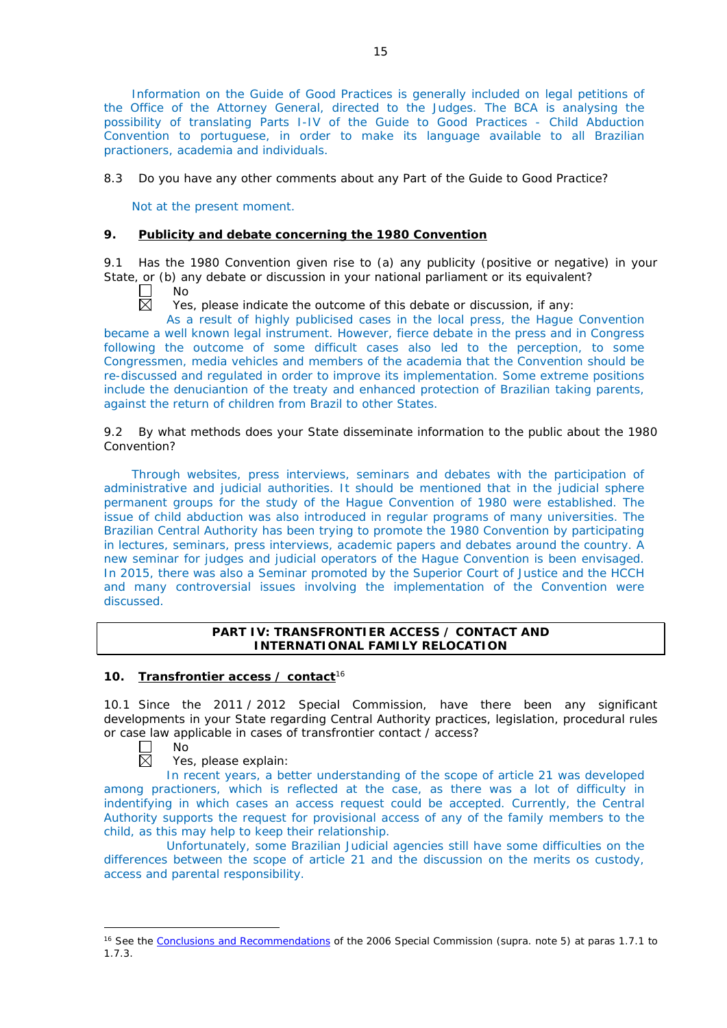Information on the Guide of Good Practices is generally included on legal petitions of the Office of the Attorney General, directed to the Judges. The BCA is analysing the possibility of translating Parts I-IV of the Guide to Good Practices - Child Abduction Convention to portuguese, in order to make its language available to all Brazilian practioners, academia and individuals.

8.3 Do you have any other comments about any Part of the Guide to Good Practice?

Not at the present moment.

# **9. Publicity and debate concerning the 1980 Convention**

9.1 Has the 1980 Convention given rise to (a) any publicity (positive or negative) in your State, or (b) any debate or discussion in your national parliament or its equivalent?

 $\mathbf{I}$ No  $\boxtimes$ 

Yes, please indicate the outcome of this debate or discussion, if any:

As a result of highly publicised cases in the local press, the Hague Convention became a well known legal instrument. However, fierce debate in the press and in Congress following the outcome of some difficult cases also led to the perception, to some Congressmen, media vehicles and members of the academia that the Convention should be re-discussed and regulated in order to improve its implementation. Some extreme positions include the denuciantion of the treaty and enhanced protection of Brazilian taking parents, against the return of children from Brazil to other States.

9.2 By what methods does your State disseminate information to the public about the 1980 Convention?

Through websites, press interviews, seminars and debates with the participation of administrative and judicial authorities. It should be mentioned that in the judicial sphere permanent groups for the study of the Hague Convention of 1980 were established. The issue of child abduction was also introduced in regular programs of many universities. The Brazilian Central Authority has been trying to promote the 1980 Convention by participating in lectures, seminars, press interviews, academic papers and debates around the country. A new seminar for judges and judicial operators of the Hague Convention is been envisaged. In 2015, there was also a Seminar promoted by the Superior Court of Justice and the HCCH and many controversial issues involving the implementation of the Convention were discussed.

# **PART IV: TRANSFRONTIER ACCESS / CONTACT AND INTERNATIONAL FAMILY RELOCATION**

# **10. Transfrontier access / contact**<sup>16</sup>

10.1 Since the 2011 / 2012 Special Commission, have there been any significant developments in your State regarding Central Authority practices, legislation, procedural rules or case law applicable in cases of transfrontier contact / access?



-

Yes, please explain:

In recent years, a better understanding of the scope of article 21 was developed among practioners, which is reflected at the case, as there was a lot of difficulty in indentifying in which cases an access request could be accepted. Currently, the Central Authority supports the request for provisional access of any of the family members to the child, as this may help to keep their relationship.

Unfortunately, some Brazilian Judicial agencies still have some difficulties on the differences between the scope of article 21 and the discussion on the merits os custody, access and parental responsibility.

<sup>&</sup>lt;sup>16</sup> See the [Conclusions and Recommendations](https://assets.hcch.net/upload/concl28sc5_e.pdf) of the 2006 Special Commission (supra. note 5) at paras 1.7.1 to 1.7.3.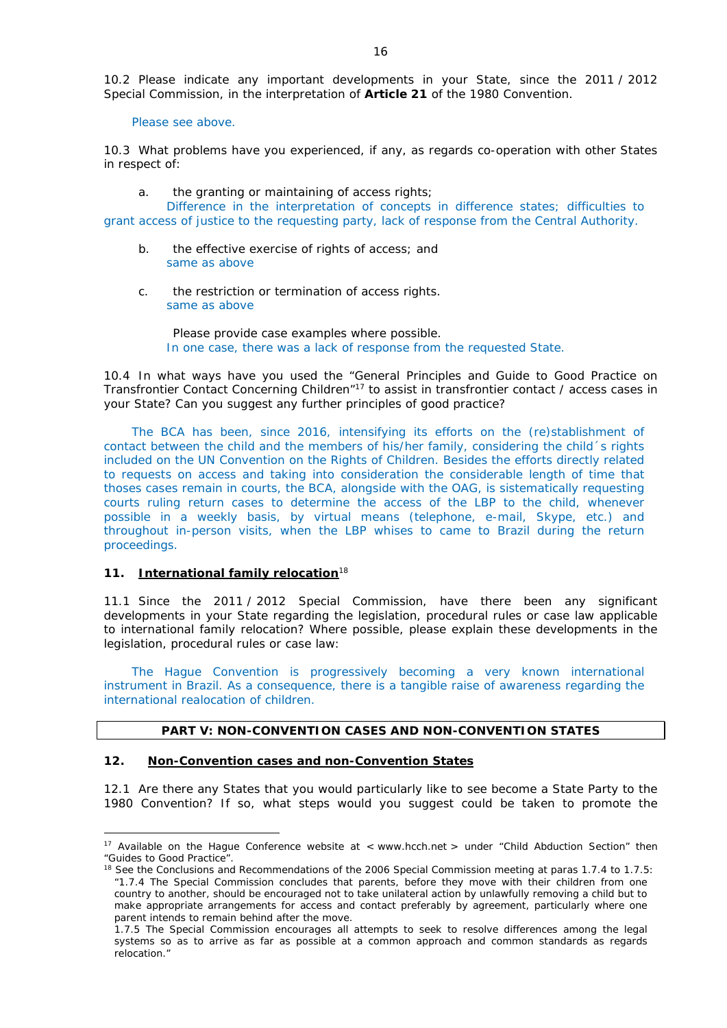10.2 Please indicate any important developments in your State, since the 2011 / 2012 Special Commission, in the interpretation of **Article 21** of the 1980 Convention.

Please see above.

10.3 What problems have you experienced, if any, as regards co-operation with other States in respect of:

a. the granting or maintaining of access rights;

Difference in the interpretation of concepts in difference states; difficulties to grant access of justice to the requesting party, lack of response from the Central Authority.

- b. the effective exercise of rights of access; and same as above
- c. the restriction or termination of access rights. same as above

Please provide case examples where possible. In one case, there was a lack of response from the requested State.

10.4 In what ways have you used the "General Principles and Guide to Good Practice on Transfrontier Contact Concerning Children"17 to assist in transfrontier contact / access cases in your State? Can you suggest any further principles of good practice?

The BCA has been, since 2016, intensifying its efforts on the (re)stablishment of contact between the child and the members of his/her family, considering the child´s rights included on the UN Convention on the Rights of Children. Besides the efforts directly related to requests on access and taking into consideration the considerable length of time that thoses cases remain in courts, the BCA, alongside with the OAG, is sistematically requesting courts ruling return cases to determine the access of the LBP to the child, whenever possible in a weekly basis, by virtual means (telephone, e-mail, Skype, etc.) and throughout in-person visits, when the LBP whises to came to Brazil during the return proceedings.

#### **11. International family relocation**<sup>18</sup>

<u>.</u>

11.1 Since the 2011 / 2012 Special Commission, have there been any significant developments in your State regarding the legislation, procedural rules or case law applicable to international family relocation? Where possible, please explain these developments in the legislation, procedural rules or case law:

The Hague Convention is progressively becoming a very known international instrument in Brazil. As a consequence, there is a tangible raise of awareness regarding the international realocation of children.

# **PART V: NON-CONVENTION CASES AND NON-CONVENTION STATES**

# **12. Non-Convention cases and non-Convention States**

12.1 Are there any States that you would particularly like to see become a State Party to the 1980 Convention? If so, what steps would you suggest could be taken to promote the

<sup>&</sup>lt;sup>17</sup> Available on the Hague Conference website at < www.hcch.net > under "Child Abduction Section" then "Guides to Good Practice".

<sup>&</sup>lt;sup>18</sup> See the Conclusions and Recommendations of the 2006 Special Commission meeting at paras 1.7.4 to 1.7.5: *"*1.7.4 The Special Commission concludes that parents, before they move with their children from one country to another, should be encouraged not to take unilateral action by unlawfully removing a child but to make appropriate arrangements for access and contact preferably by agreement, particularly where one parent intends to remain behind after the move.

<sup>1.7.5</sup> The Special Commission encourages all attempts to seek to resolve differences among the legal systems so as to arrive as far as possible at a common approach and common standards as regards relocation."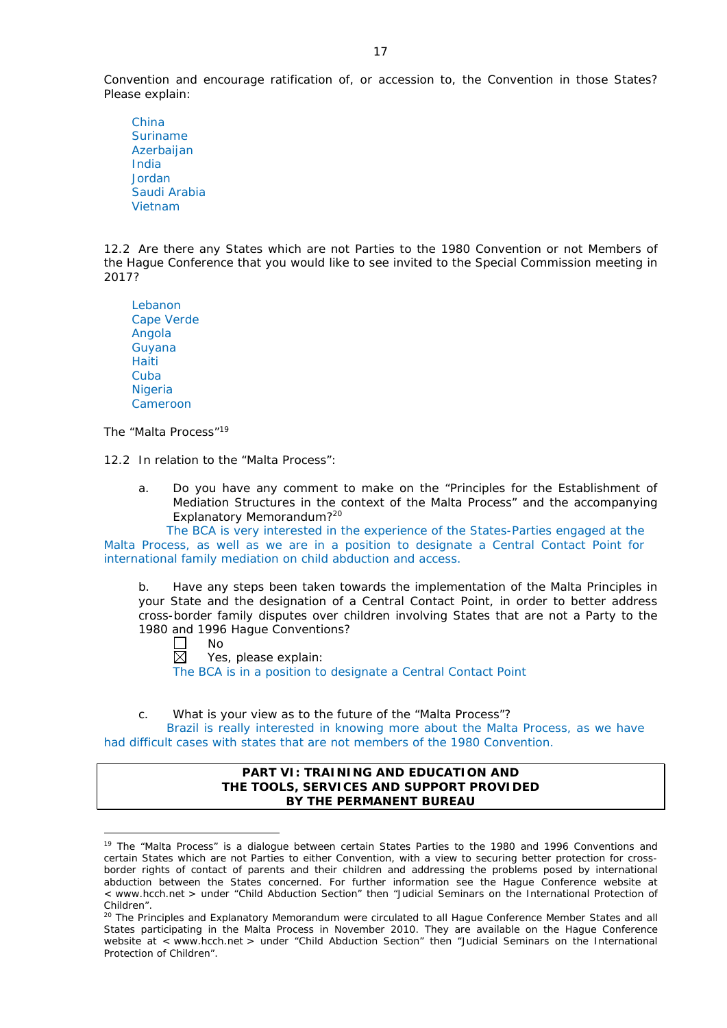Convention and encourage ratification of, or accession to, the Convention in those States? Please explain:

China Suriname Azerbaijan India Jordan Saudi Arabia Vietnam

12.2 Are there any States which are not Parties to the 1980 Convention or not Members of the Hague Conference that you would like to see invited to the Special Commission meeting in 2017?

| I ebanon          |
|-------------------|
| <b>Cape Verde</b> |
| Angola            |
| Guyana            |
| Haiti             |
| Cuba              |
| Nigeria           |
| Cameroon          |

*The "Malta Process"*<sup>19</sup>

12.2 In relation to the "Malta Process":

a. Do you have any comment to make on the "Principles for the Establishment of Mediation Structures in the context of the Malta Process" and the accompanying Explanatory Memorandum?20

The BCA is very interested in the experience of the States-Parties engaged at the Malta Process, as well as we are in a position to designate a Central Contact Point for international family mediation on child abduction and access.

b. Have any steps been taken towards the implementation of the Malta Principles in your State and the designation of a Central Contact Point, in order to better address cross-border family disputes over children involving States that are not a Party to the 1980 and 1996 Hague Conventions?

П No

<u>.</u>

 $\boxtimes$ Yes, please explain:

The BCA is in a position to designate a Central Contact Point

c. What is your view as to the future of the "Malta Process"?

Brazil is really interested in knowing more about the Malta Process, as we have had difficult cases with states that are not members of the 1980 Convention.

#### **PART VI: TRAINING AND EDUCATION AND THE TOOLS, SERVICES AND SUPPORT PROVIDED BY THE PERMANENT BUREAU**

<sup>&</sup>lt;sup>19</sup> The "Malta Process" is a dialogue between certain States Parties to the 1980 and 1996 Conventions and certain States which are not Parties to either Convention, with a view to securing better protection for crossborder rights of contact of parents and their children and addressing the problems posed by international abduction between the States concerned. For further information see the Hague Conference website at < www.hcch.net > under "Child Abduction Section" then "Judicial Seminars on the International Protection of Children".

<sup>20</sup> The Principles and Explanatory Memorandum were circulated to all Hague Conference Member States and all States participating in the Malta Process in November 2010. They are available on the Hague Conference website at < www.hcch.net > under "Child Abduction Section" then "Judicial Seminars on the International Protection of Children".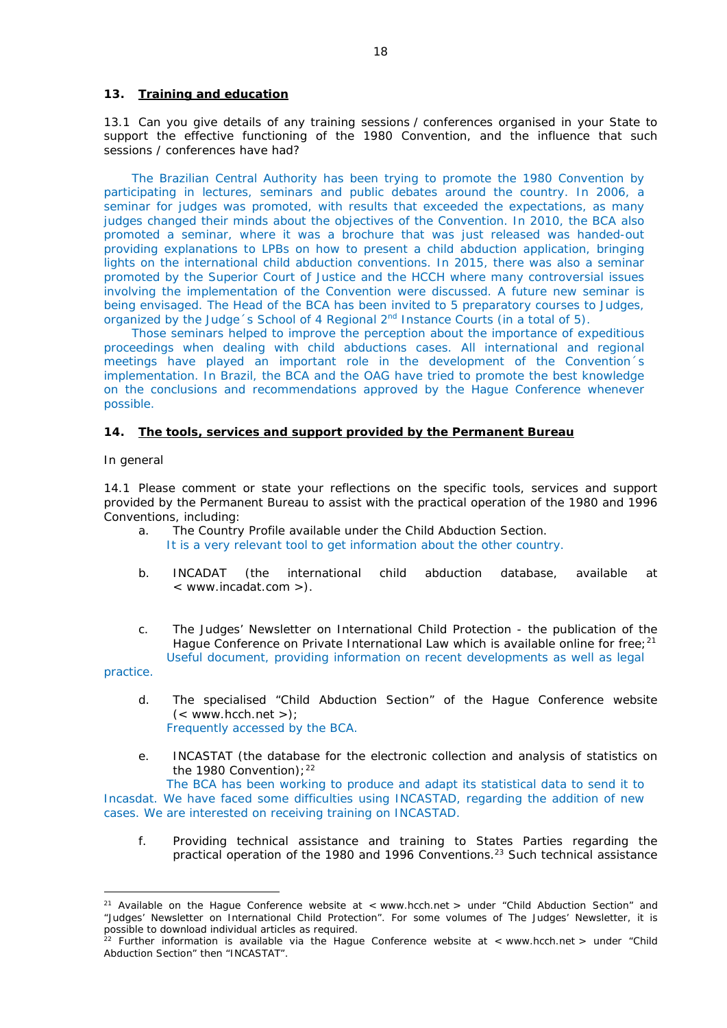#### **13. Training and education**

13.1 Can you give details of any training sessions / conferences organised in your State to support the effective functioning of the 1980 Convention, and the influence that such sessions / conferences have had?

The Brazilian Central Authority has been trying to promote the 1980 Convention by participating in lectures, seminars and public debates around the country. In 2006, a seminar for judges was promoted, with results that exceeded the expectations, as many judges changed their minds about the objectives of the Convention. In 2010, the BCA also promoted a seminar, where it was a brochure that was just released was handed-out providing explanations to LPBs on how to present a child abduction application, bringing lights on the international child abduction conventions. In 2015, there was also a seminar promoted by the Superior Court of Justice and the HCCH where many controversial issues involving the implementation of the Convention were discussed. A future new seminar is being envisaged. The Head of the BCA has been invited to 5 preparatory courses to Judges, organized by the Judge 's School of 4 Regional  $2<sup>nd</sup>$  Instance Courts (in a total of 5).

Those seminars helped to improve the perception about the importance of expeditious proceedings when dealing with child abductions cases. All international and regional meetings have played an important role in the development of the Convention´s implementation. In Brazil, the BCA and the OAG have tried to promote the best knowledge on the conclusions and recommendations approved by the Hague Conference whenever possible.

#### **14. The tools, services and support provided by the Permanent Bureau**

#### *In general*

14.1 Please comment or state your reflections on the specific tools, services and support provided by the Permanent Bureau to assist with the practical operation of the 1980 and 1996 Conventions, including:

- a. The Country Profile available under the Child Abduction Section. It is a very relevant tool to get information about the other country.
- b. INCADAT (the international child abduction database, available at < www.incadat.com >).
- c. *The Judges' Newsletter* on International Child Protection the publication of the Hague Conference on Private International Law which is available online for free; $21$ Useful document, providing information on recent developments as well as legal

practice.

-

- d. The specialised "Child Abduction Section" of the Hague Conference website  $(<$  www.hcch.net >); Frequently accessed by the BCA.
- e. INCASTAT (the database for the electronic collection and analysis of statistics on the 1980 Convention):  $22$

The BCA has been working to produce and adapt its statistical data to send it to Incasdat. We have faced some difficulties using INCASTAD, regarding the addition of new cases. We are interested on receiving training on INCASTAD.

f. Providing technical assistance and training to States Parties regarding the practical operation of the 1980 and 1996 Conventions.23 Such technical assistance

<sup>&</sup>lt;sup>21</sup> Available on the Hague Conference website at < www.hcch.net > under "Child Abduction Section" and "Judges' Newsletter on International Child Protection". For some volumes of *The Judges' Newsletter*, it is possible to download individual articles as required.

<sup>&</sup>lt;sup>22</sup> Further information is available via the Hague Conference website at  $\lt$  www.hcch.net  $>$  under "Child Abduction Section" then "INCASTAT".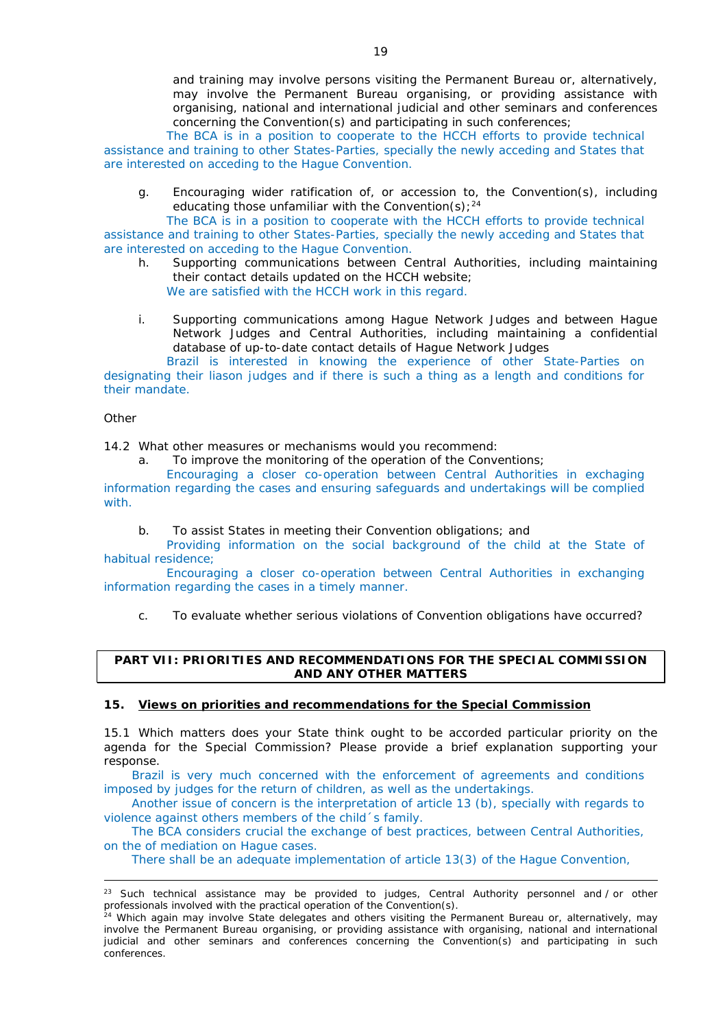The BCA is in a position to cooperate to the HCCH efforts to provide technical assistance and training to other States-Parties, specially the newly acceding and States that are interested on acceding to the Hague Convention.

g. Encouraging wider ratification of, or accession to, the Convention(s), including educating those unfamiliar with the Convention(s);  $24$ 

The BCA is in a position to cooperate with the HCCH efforts to provide technical assistance and training to other States-Parties, specially the newly acceding and States that are interested on acceding to the Hague Convention.

- h. Supporting communications between Central Authorities, including maintaining their contact details updated on the HCCH website; We are satisfied with the HCCH work in this regard.
- i. Supporting communications among Hague Network Judges and between Hague Network Judges and Central Authorities, including maintaining a confidential database of up-to-date contact details of Hague Network Judges

Brazil is interested in knowing the experience of other State-Parties on designating their liason judges and if there is such a thing as a length and conditions for their mandate.

*Other*

-

14.2 What other measures or mechanisms would you recommend:

a. To improve the monitoring of the operation of the Conventions;

Encouraging a closer co-operation between Central Authorities in exchaging information regarding the cases and ensuring safeguards and undertakings will be complied with.

b. To assist States in meeting their Convention obligations; and

Providing information on the social background of the child at the State of habitual residence;

Encouraging a closer co-operation between Central Authorities in exchanging information regarding the cases in a timely manner.

c. To evaluate whether serious violations of Convention obligations have occurred?

# **PART VII: PRIORITIES AND RECOMMENDATIONS FOR THE SPECIAL COMMISSION AND ANY OTHER MATTERS**

# **15. Views on priorities and recommendations for the Special Commission**

15.1 Which matters does your State think ought to be accorded particular priority on the agenda for the Special Commission? Please provide a brief explanation supporting your response.

Brazil is very much concerned with the enforcement of agreements and conditions imposed by judges for the return of children, as well as the undertakings.

Another issue of concern is the interpretation of article 13 (b), specially with regards to violence against others members of the child´s family.

The BCA considers crucial the exchange of best practices, between Central Authorities, on the of mediation on Hague cases.

There shall be an adequate implementation of article 13(3) of the Hague Convention,

<sup>&</sup>lt;sup>23</sup> Such technical assistance may be provided to judges, Central Authority personnel and / or other professionals involved with the practical operation of the Convention(s).<br>
<sup>24</sup> Which oscila www.

<sup>&</sup>lt;sup>4</sup> Which again may involve State delegates and others visiting the Permanent Bureau or, alternatively, may involve the Permanent Bureau organising, or providing assistance with organising, national and international judicial and other seminars and conferences concerning the Convention(s) and participating in such conferences.